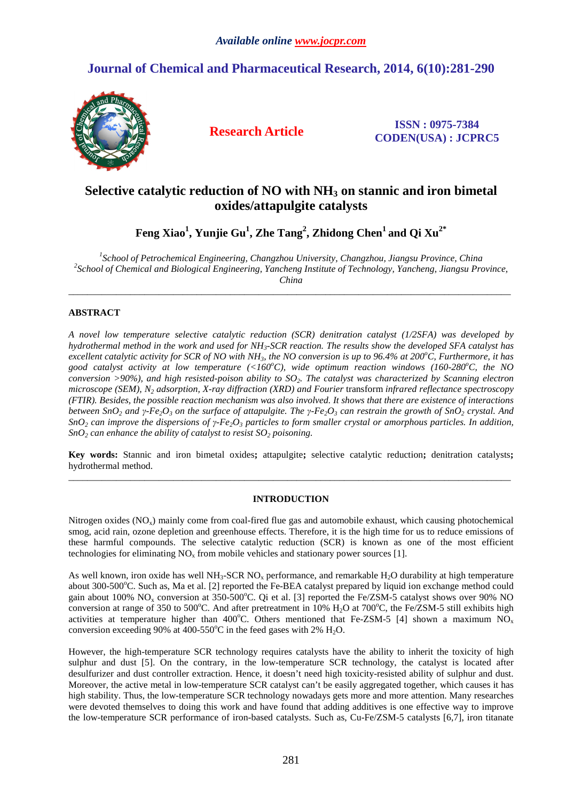# **Journal of Chemical and Pharmaceutical Research, 2014, 6(10):281-290**



**Research Article ISSN : 0975-7384 CODEN(USA) : JCPRC5**

# **Selective catalytic reduction of NO with NH3 on stannic and iron bimetal oxides/attapulgite catalysts**

**Feng Xiao<sup>1</sup> , Yunjie Gu<sup>1</sup> , Zhe Tang<sup>2</sup> , Zhidong Chen<sup>1</sup>and Qi Xu2\*** 

*1 School of Petrochemical Engineering, Changzhou University, Changzhou, Jiangsu Province, China*  <sup>2</sup> School of Chemical and Biological Engineering, Yancheng Institute of Technology, Yancheng, Jiangsu Province, *China* 

\_\_\_\_\_\_\_\_\_\_\_\_\_\_\_\_\_\_\_\_\_\_\_\_\_\_\_\_\_\_\_\_\_\_\_\_\_\_\_\_\_\_\_\_\_\_\_\_\_\_\_\_\_\_\_\_\_\_\_\_\_\_\_\_\_\_\_\_\_\_\_\_\_\_\_\_\_\_\_\_\_\_\_\_\_\_\_\_\_\_\_\_\_

# **ABSTRACT**

*A novel low temperature selective catalytic reduction (SCR) denitration catalyst (1/2SFA) was developed by hydrothermal method in the work and used for NH3-SCR reaction. The results show the developed SFA catalyst has excellent catalytic activity for SCR of NO with NH3, the NO conversion is up to 96.4% at 200<sup>o</sup>C, Furthermore, it has good catalyst activity at low temperature (<160<sup>o</sup>C), wide optimum reaction windows (160-280<sup>o</sup>C, the NO conversion >90%), and high resisted-poison ability to SO2. The catalyst was characterized by Scanning electron microscope (SEM), N2 adsorption, X-ray diffraction (XRD) and Fourier* transform *infrared reflectance spectroscopy (FTIR). Besides, the possible reaction mechanism was also involved. It shows that there are existence of interactions*  between SnO<sub>2</sub> and y-Fe<sub>2</sub>O<sub>3</sub> on the surface of attapulgite. The y-Fe<sub>2</sub>O<sub>3</sub> can restrain the growth of SnO<sub>2</sub> crystal. And *SnO2 can improve the dispersions of γ-Fe2O3 particles to form smaller crystal or amorphous particles. In addition, SnO2 can enhance the ability of catalyst to resist SO2 poisoning.* 

**Key words:** Stannic and iron bimetal oxides**;** attapulgite**;** selective catalytic reduction**;** denitration catalysts**;**  hydrothermal method.  $\overline{a}$  , and the contribution of the contribution of the contribution of the contribution of the contribution of the contribution of the contribution of the contribution of the contribution of the contribution of the co

# **INTRODUCTION**

Nitrogen oxides (NO<sub>x</sub>) mainly come from coal-fired flue gas and automobile exhaust, which causing photochemical smog, acid rain, ozone depletion and greenhouse effects. Therefore, it is the high time for us to reduce emissions of these harmful compounds. The selective catalytic reduction (SCR) is known as one of the most efficient technologies for eliminating  $NO_x$  from mobile vehicles and stationary power sources [1].

As well known, iron oxide has well NH<sub>3</sub>-SCR NO<sub>x</sub> performance, and remarkable H<sub>2</sub>O durability at high temperature about  $300$ -500 $^{\circ}$ C. Such as, Ma et al. [2] reported the Fe-BEA catalyst prepared by liquid ion exchange method could gain about 100%  $NO_x$  conversion at 350-500°C. Qi et al. [3] reported the Fe/ZSM-5 catalyst shows over 90% NO conversion at range of 350 to 500°C. And after pretreatment in  $10\%$  H<sub>2</sub>O at 700°C, the Fe/ZSM-5 still exhibits high activities at temperature higher than 400°C. Others mentioned that Fe-ZSM-5 [4] shown a maximum  $NO<sub>x</sub>$ conversion exceeding 90% at 400-550 $^{\circ}$ C in the feed gases with 2% H<sub>2</sub>O.

However, the high-temperature SCR technology requires catalysts have the ability to inherit the toxicity of high sulphur and dust [5]. On the contrary, in the low-temperature SCR technology, the catalyst is located after desulfurizer and dust controller extraction. Hence, it doesn't need high toxicity-resisted ability of sulphur and dust. Moreover, the active metal in low-temperature SCR catalyst can't be easily aggregated together, which causes it has high stability. Thus, the low-temperature SCR technology nowadays gets more and more attention. Many researches were devoted themselves to doing this work and have found that adding additives is one effective way to improve the low-temperature SCR performance of iron-based catalysts. Such as, Cu-Fe/ZSM-5 catalysts [6,7], iron titanate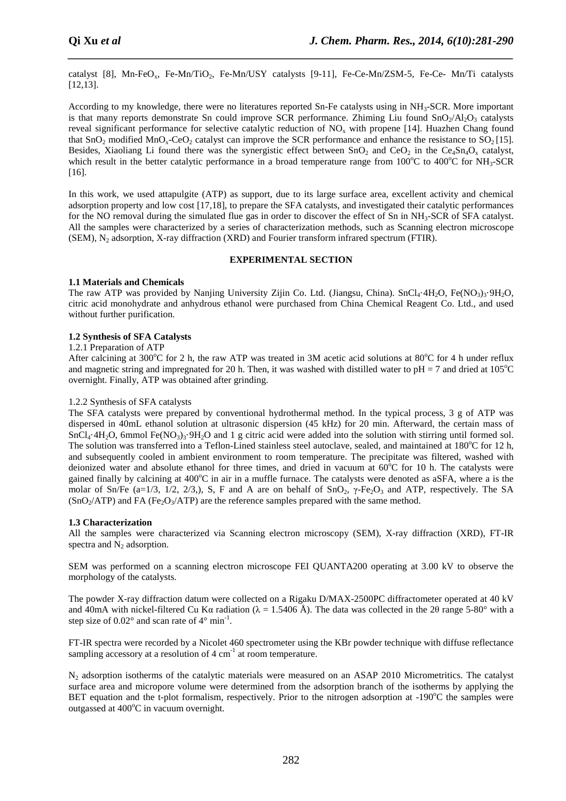catalyst [8], Mn-FeO<sub>x</sub>, Fe-Mn/TiO<sub>2</sub>, Fe-Mn/USY catalysts [9-11], Fe-Ce-Mn/ZSM-5, Fe-Ce- Mn/Ti catalysts [12,13].

*\_\_\_\_\_\_\_\_\_\_\_\_\_\_\_\_\_\_\_\_\_\_\_\_\_\_\_\_\_\_\_\_\_\_\_\_\_\_\_\_\_\_\_\_\_\_\_\_\_\_\_\_\_\_\_\_\_\_\_\_\_\_\_\_\_\_\_\_\_\_\_\_\_\_\_\_\_\_*

According to my knowledge, there were no literatures reported Sn-Fe catalysts using in NH3-SCR. More important is that many reports demonstrate Sn could improve SCR performance. Zhiming Liu found  $SnO<sub>2</sub>/Al<sub>2</sub>O<sub>3</sub>$  catalysts reveal significant performance for selective catalytic reduction of  $NO<sub>x</sub>$  with propene [14]. Huazhen Chang found that  $SnO<sub>2</sub>$  modified  $MnO<sub>x</sub>$ -CeO<sub>2</sub> catalyst can improve the SCR performance and enhance the resistance to SO<sub>2</sub> [15]. Besides, Xiaoliang Li found there was the synergistic effect between  $SnO<sub>2</sub>$  and  $CeO<sub>2</sub>$  in the  $Ce<sub>4</sub>Sn<sub>4</sub>O<sub>x</sub>$  catalyst, which result in the better catalytic performance in a broad temperature range from  $100^{\circ}$ C to  $400^{\circ}$ C for NH<sub>3</sub>-SCR [16].

In this work, we used attapulgite (ATP) as support, due to its large surface area, excellent activity and chemical adsorption property and low cost [17,18], to prepare the SFA catalysts, and investigated their catalytic performances for the NO removal during the simulated flue gas in order to discover the effect of Sn in NH<sub>3</sub>-SCR of SFA catalyst. All the samples were characterized by a series of characterization methods, such as Scanning electron microscope  $(SEM)$ , N<sub>2</sub> adsorption, X-ray diffraction  $(XRD)$  and Fourier transform infrared spectrum (FTIR).

## **EXPERIMENTAL SECTION**

## **1.1 Materials and Chemicals**

The raw ATP was provided by Nanjing University Zijin Co. Ltd. (Jiangsu, China). SnCl<sub>4</sub>·4H<sub>2</sub>O, Fe(NO<sub>3</sub>)<sub>3</sub>·9H<sub>2</sub>O, citric acid monohydrate and anhydrous ethanol were purchased from China Chemical Reagent Co. Ltd., and used without further purification.

## **1.2 Synthesis of SFA Catalysts**

#### 1.2.1 Preparation of ATP

After calcining at 300°C for 2 h, the raw ATP was treated in 3M acetic acid solutions at 80°C for 4 h under reflux and magnetic string and impregnated for 20 h. Then, it was washed with distilled water to  $pH = 7$  and dried at 105<sup>o</sup>C overnight. Finally, ATP was obtained after grinding.

### 1.2.2 Synthesis of SFA catalysts

The SFA catalysts were prepared by conventional hydrothermal method. In the typical process, 3 g of ATP was dispersed in 40mL ethanol solution at ultrasonic dispersion (45 kHz) for 20 min. Afterward, the certain mass of  $SnCl<sub>4</sub>·4H<sub>2</sub>O$ , 6mmol Fe(NO<sub>3</sub>)<sub>3</sub>·9H<sub>2</sub>O and 1 g citric acid were added into the solution with stirring until formed sol. The solution was transferred into a Teflon-Lined stainless steel autoclave, sealed, and maintained at  $180^{\circ}$ C for 12 h, and subsequently cooled in ambient environment to room temperature. The precipitate was filtered, washed with deionized water and absolute ethanol for three times, and dried in vacuum at  $60^{\circ}$ C for 10 h. The catalysts were gained finally by calcining at  $400^{\circ}$ C in air in a muffle furnace. The catalysts were denoted as  $a$ SFA, where a is the molar of Sn/Fe (a=1/3, 1/2, 2/3,), S, F and A are on behalf of  $SnO<sub>2</sub>$ ,  $\gamma$ -Fe<sub>2</sub>O<sub>3</sub> and ATP, respectively. The SA  $(SnO<sub>2</sub>/ATP)$  and FA (Fe<sub>2</sub>O<sub>3</sub>/ATP) are the reference samples prepared with the same method.

## **1.3 Characterization**

All the samples were characterized via Scanning electron microscopy (SEM), X-ray diffraction (XRD), FT-IR spectra and  $N_2$  adsorption.

SEM was performed on a scanning electron microscope FEI QUANTA200 operating at 3.00 kV to observe the morphology of the catalysts.

The powder X-ray diffraction datum were collected on a Rigaku D/MAX-2500PC diffractometer operated at 40 kV and 40mA with nickel-filtered Cu Kα radiation ( $\lambda = 1.5406 \text{ Å}$ ). The data was collected in the 20 range 5-80° with a step size of  $0.02^{\circ}$  and scan rate of  $4^{\circ}$  min<sup>-1</sup>.

FT-IR spectra were recorded by a Nicolet 460 spectrometer using the KBr powder technique with diffuse reflectance sampling accessory at a resolution of  $4 \text{ cm}^{-1}$  at room temperature.

N2 adsorption isotherms of the catalytic materials were measured on an ASAP 2010 Micrometritics. The catalyst surface area and micropore volume were determined from the adsorption branch of the isotherms by applying the BET equation and the t-plot formalism, respectively. Prior to the nitrogen adsorption at  $-190^{\circ}$ C the samples were outgassed at  $400^{\circ}$ C in vacuum overnight.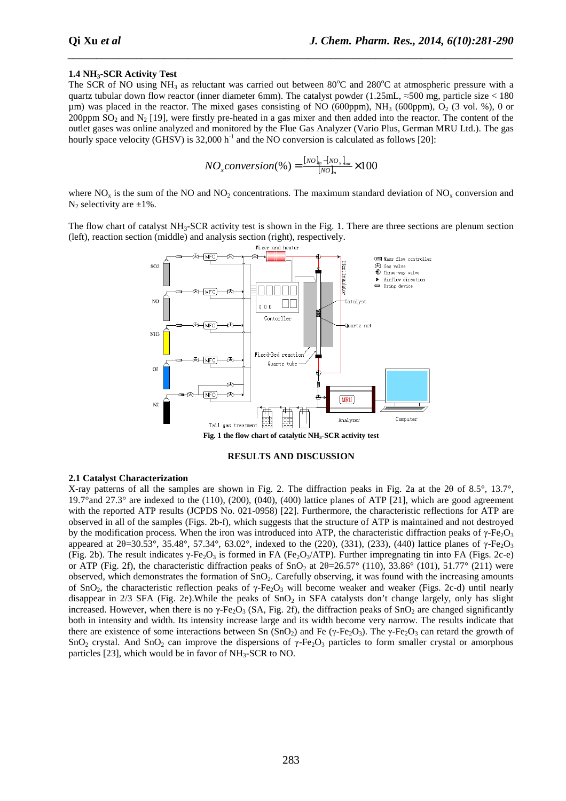### **1.4 NH3-SCR Activity Test**

The SCR of NO using NH<sub>3</sub> as reluctant was carried out between 80 $^{\circ}$ C and 280 $^{\circ}$ C at atmospheric pressure with a quartz tubular down flow reactor (inner diameter 6mm). The catalyst powder (1.25mL, ≈500 mg, particle size < 180  $\mu$ m) was placed in the reactor. The mixed gases consisting of NO (600ppm), NH<sub>3</sub> (600ppm), O<sub>2</sub> (3 vol. %), 0 or 200ppm  $SO_2$  and  $N_2$  [19], were firstly pre-heated in a gas mixer and then added into the reactor. The content of the outlet gases was online analyzed and monitored by the Flue Gas Analyzer (Vario Plus, German MRU Ltd.). The gas hourly space velocity (GHSV) is  $32,000$  h<sup>-1</sup> and the NO conversion is calculated as follows [20]:

*\_\_\_\_\_\_\_\_\_\_\_\_\_\_\_\_\_\_\_\_\_\_\_\_\_\_\_\_\_\_\_\_\_\_\_\_\_\_\_\_\_\_\_\_\_\_\_\_\_\_\_\_\_\_\_\_\_\_\_\_\_\_\_\_\_\_\_\_\_\_\_\_\_\_\_\_\_\_*

$$
NO_{x} conversion (\%) = \frac{[NO]_{in} - [NO_{x}]_{out}}{[NO]_{in}} \times 100
$$

where  $NO<sub>x</sub>$  is the sum of the NO and NO<sub>2</sub> concentrations. The maximum standard deviation of NO<sub>x</sub> conversion and  $N_2$  selectivity are  $\pm 1\%$ .

The flow chart of catalyst  $NH_3$ -SCR activity test is shown in the Fig. 1. There are three sections are plenum section (left), reaction section (middle) and analysis section (right), respectively.



#### **RESULTS AND DISCUSSION**

#### **2.1 Catalyst Characterization**

X-ray patterns of all the samples are shown in Fig. 2. The diffraction peaks in Fig. 2a at the 2θ of 8.5°, 13.7°, 19.7°and 27.3° are indexed to the  $(110)$ ,  $(200)$ ,  $(040)$ ,  $(400)$  lattice planes of ATP [21], which are good agreement with the reported ATP results (JCPDS No. 021-0958) [22]. Furthermore, the characteristic reflections for ATP are observed in all of the samples (Figs. 2b-f), which suggests that the structure of ATP is maintained and not destroyed by the modification process. When the iron was introduced into ATP, the characteristic diffraction peaks of  $\gamma$ -Fe<sub>2</sub>O<sub>3</sub> appeared at  $2\theta = 30.53^{\circ}$ ,  $35.48^{\circ}$ ,  $57.34^{\circ}$ ,  $63.02^{\circ}$ , indexed to the (220), (331), (233), (440) lattice planes of γ-Fe<sub>2</sub>O<sub>3</sub> (Fig. 2b). The result indicates  $\gamma$ -Fe<sub>2</sub>O<sub>3</sub> is formed in FA (Fe<sub>2</sub>O<sub>3</sub>/ATP). Further impregnating tin into FA (Figs. 2c-e) or ATP (Fig. 2f), the characteristic diffraction peaks of SnO<sub>2</sub> at  $2\theta = 26.57^{\circ}$  (110), 33.86° (101), 51.77° (211) were observed, which demonstrates the formation of  $SnO<sub>2</sub>$ . Carefully observing, it was found with the increasing amounts of SnO<sub>2</sub>, the characteristic reflection peaks of  $\gamma$ -Fe<sub>2</sub>O<sub>3</sub> will become weaker and weaker (Figs. 2c-d) until nearly disappear in  $2/3$  SFA (Fig. 2e). While the peaks of SnO<sub>2</sub> in SFA catalysts don't change largely, only has slight increased. However, when there is no  $\gamma$ -Fe<sub>2</sub>O<sub>3</sub> (SA, Fig. 2f), the diffraction peaks of SnO<sub>2</sub> are changed significantly both in intensity and width. Its intensity increase large and its width become very narrow. The results indicate that there are existence of some interactions between Sn  $(SnO<sub>2</sub>)$  and Fe (γ-Fe<sub>2</sub>O<sub>3</sub>). The γ-Fe<sub>2</sub>O<sub>3</sub> can retard the growth of SnO<sub>2</sub> crystal. And SnO<sub>2</sub> can improve the dispersions of  $\gamma$ -Fe<sub>2</sub>O<sub>3</sub> particles to form smaller crystal or amorphous particles [23], which would be in favor of NH<sub>3</sub>-SCR to NO.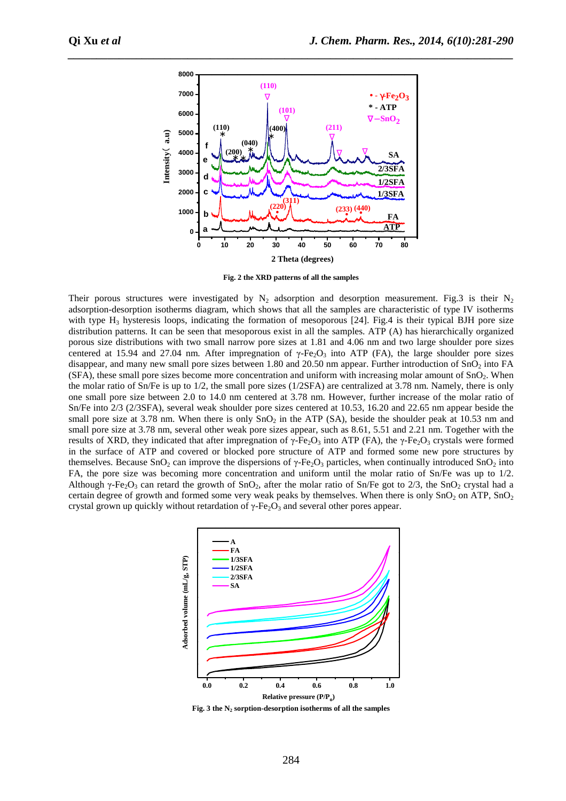

**Fig. 2 the XRD patterns of all the samples** 

Their porous structures were investigated by  $N_2$  adsorption and desorption measurement. Fig. 3 is their  $N_2$ adsorption-desorption isotherms diagram, which shows that all the samples are characteristic of type IV isotherms with type  $H_3$  hysteresis loops, indicating the formation of mesoporous [24]. Fig.4 is their typical BJH pore size distribution patterns. It can be seen that mesoporous exist in all the samples. ATP (A) has hierarchically organized porous size distributions with two small narrow pore sizes at 1.81 and 4.06 nm and two large shoulder pore sizes centered at 15.94 and 27.04 nm. After impregnation of  $\gamma$ -Fe<sub>2</sub>O<sub>3</sub> into ATP (FA), the large shoulder pore sizes disappear, and many new small pore sizes between 1.80 and 20.50 nm appear. Further introduction of  $SnO<sub>2</sub>$  into FA  $(SFA)$ , these small pore sizes become more concentration and uniform with increasing molar amount of  $SnO<sub>2</sub>$ . When the molar ratio of Sn/Fe is up to 1/2, the small pore sizes (1/2SFA) are centralized at 3.78 nm. Namely, there is only one small pore size between 2.0 to 14.0 nm centered at 3.78 nm. However, further increase of the molar ratio of Sn/Fe into 2/3 (2/3SFA), several weak shoulder pore sizes centered at 10.53, 16.20 and 22.65 nm appear beside the small pore size at 3.78 nm. When there is only  $SnO<sub>2</sub>$  in the ATP (SA), beside the shoulder peak at 10.53 nm and small pore size at 3.78 nm, several other weak pore sizes appear, such as 8.61, 5.51 and 2.21 nm. Together with the results of XRD, they indicated that after impregnation of  $\gamma$ -Fe<sub>2</sub>O<sub>3</sub> into ATP (FA), the  $\gamma$ -Fe<sub>2</sub>O<sub>3</sub> crystals were formed in the surface of ATP and covered or blocked pore structure of ATP and formed some new pore structures by themselves. Because SnO<sub>2</sub> can improve the dispersions of  $\gamma$ -Fe<sub>2</sub>O<sub>3</sub> particles, when continually introduced SnO<sub>2</sub> into FA, the pore size was becoming more concentration and uniform until the molar ratio of Sn/Fe was up to 1/2. Although γ-Fe<sub>2</sub>O<sub>3</sub> can retard the growth of SnO<sub>2</sub>, after the molar ratio of Sn/Fe got to 2/3, the SnO<sub>2</sub> crystal had a certain degree of growth and formed some very weak peaks by themselves. When there is only  $SnO<sub>2</sub>$  on ATP,  $SnO<sub>2</sub>$ crystal grown up quickly without retardation of  $\gamma$ -Fe<sub>2</sub>O<sub>3</sub> and several other pores appear.



**Fig. 3 the N2 sorption-desorption isotherms of all the samples**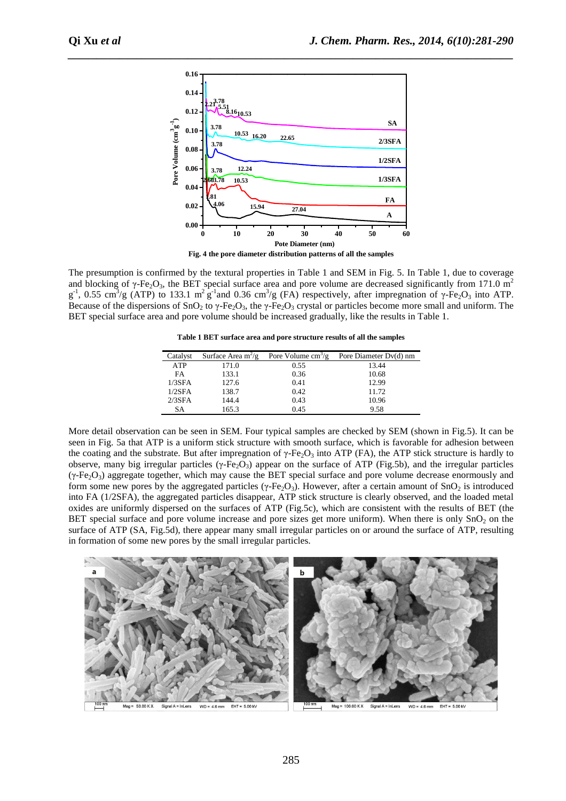

The presumption is confirmed by the textural properties in Table 1 and SEM in Fig. 5. In Table 1, due to coverage and blocking of  $\gamma$ -Fe<sub>2</sub>O<sub>3</sub>, the BET special surface area and pore volume are decreased significantly from 171.0 m<sup>2</sup>  $g^{-1}$ , 0.55 cm<sup>3</sup>/g (ATP) to 133.1 m<sup>2</sup>  $g^{-1}$  and 0.36 cm<sup>3</sup>/g (FA) respectively, after impregnation of γ-Fe<sub>2</sub>O<sub>3</sub> into ATP. Because of the dispersions of  $SnO_2$  to  $\gamma$ -Fe<sub>2</sub>O<sub>3</sub>, the  $\gamma$ -Fe<sub>2</sub>O<sub>3</sub> crystal or particles become more small and uniform. The BET special surface area and pore volume should be increased gradually, like the results in Table 1.

**Table 1 BET surface area and pore structure results of all the samples** 

| Catalyst   | Surface Area $m^2/g$ | Pore Volume $\text{cm}^3/\text{g}$ | Pore Diameter Dv(d) nm |
|------------|----------------------|------------------------------------|------------------------|
| <b>ATP</b> | 171.0                | 0.55                               | 13.44                  |
| <b>FA</b>  | 133.1                | 0.36                               | 10.68                  |
| $1/3$ SFA  | 127.6                | 0.41                               | 12.99                  |
| $1/2$ SFA  | 138.7                | 0.42                               | 11.72                  |
| $2/3$ SFA  | 144.4                | 0.43                               | 10.96                  |
| SА         | 165.3                | 0.45                               | 9.58                   |

More detail observation can be seen in SEM. Four typical samples are checked by SEM (shown in Fig.5). It can be seen in Fig. 5a that ATP is a uniform stick structure with smooth surface, which is favorable for adhesion between the coating and the substrate. But after impregnation of  $\gamma$ -Fe<sub>2</sub>O<sub>3</sub> into ATP (FA), the ATP stick structure is hardly to observe, many big irregular particles (γ-Fe<sub>2</sub>O<sub>3</sub>) appear on the surface of ATP (Fig.5b), and the irregular particles  $(\gamma$ -Fe<sub>2</sub>O<sub>3</sub>) aggregate together, which may cause the BET special surface and pore volume decrease enormously and form some new pores by the aggregated particles ( $\gamma$ -Fe<sub>2</sub>O<sub>3</sub>). However, after a certain amount of SnO<sub>2</sub> is introduced into FA (1/2SFA), the aggregated particles disappear, ATP stick structure is clearly observed, and the loaded metal oxides are uniformly dispersed on the surfaces of ATP (Fig.5c), which are consistent with the results of BET (the BET special surface and pore volume increase and pore sizes get more uniform). When there is only  $SnO<sub>2</sub>$  on the surface of ATP (SA, Fig.5d), there appear many small irregular particles on or around the surface of ATP, resulting in formation of some new pores by the small irregular particles.

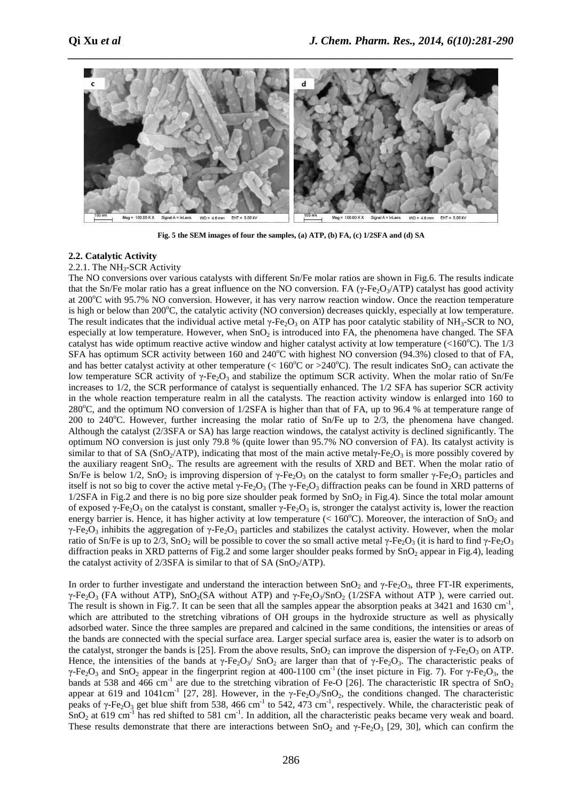

**Fig. 5 the SEM images of four the samples, (a) ATP, (b) FA, (c) 1/2SFA and (d) SA** 

#### **2.2. Catalytic Activity**

#### 2.2.1. The NH<sub>3</sub>-SCR Activity

The NO conversions over various catalysts with different Sn/Fe molar ratios are shown in Fig.6. The results indicate that the Sn/Fe molar ratio has a great influence on the NO conversion. FA ( $\gamma$ -Fe<sub>2</sub>O<sub>3</sub>/ATP) catalyst has good activity at 200<sup>o</sup>C with 95.7% NO conversion. However, it has very narrow reaction window. Once the reaction temperature is high or below than 200°C, the catalytic activity (NO conversion) decreases quickly, especially at low temperature. The result indicates that the individual active metal  $\gamma$ -Fe<sub>2</sub>O<sub>3</sub> on ATP has poor catalytic stability of NH<sub>3</sub>-SCR to NO, especially at low temperature. However, when  $SnO<sub>2</sub>$  is introduced into FA, the phenomena have changed. The SFA catalyst has wide optimum reactive active window and higher catalyst activity at low temperature  $\langle$ 160<sup>o</sup>C). The 1/3 SFA has optimum SCR activity between 160 and  $240^{\circ}$ C with highest NO conversion (94.3%) closed to that of FA, and has better catalyst activity at other temperature ( $\lt 160^{\circ}$ C or  $\gt 240^{\circ}$ C). The result indicates SnO<sub>2</sub> can activate the low temperature SCR activity of  $\gamma$ -Fe<sub>2</sub>O<sub>3</sub> and stabilize the optimum SCR activity. When the molar ratio of Sn/Fe increases to 1/2, the SCR performance of catalyst is sequentially enhanced. The 1/2 SFA has superior SCR activity in the whole reaction temperature realm in all the catalysts. The reaction activity window is enlarged into 160 to 280°C, and the optimum NO conversion of 1/2SFA is higher than that of FA, up to 96.4 % at temperature range of 200 to 240 $^{\circ}$ C. However, further increasing the molar ratio of Sn/Fe up to 2/3, the phenomena have changed. Although the catalyst (2/3SFA or SA) has large reaction windows, the catalyst activity is declined significantly. The optimum NO conversion is just only 79.8 % (quite lower than 95.7% NO conversion of FA). Its catalyst activity is similar to that of SA (SnO<sub>2</sub>/ATP), indicating that most of the main active metaly-Fe<sub>2</sub>O<sub>3</sub> is more possibly covered by the auxiliary reagent SnO<sub>2</sub>. The results are agreement with the results of XRD and BET. When the molar ratio of Sn/Fe is below 1/2, SnO<sub>2</sub> is improving dispersion of γ-Fe<sub>2</sub>O<sub>3</sub> on the catalyst to form smaller γ-Fe<sub>2</sub>O<sub>3</sub> particles and itself is not so big to cover the active metal γ-Fe<sub>2</sub>O<sub>3</sub> (The γ-Fe<sub>2</sub>O<sub>3</sub> diffraction peaks can be found in XRD patterns of  $1/2$ SFA in Fig.2 and there is no big pore size shoulder peak formed by SnO<sub>2</sub> in Fig.4). Since the total molar amount of exposed γ-Fe<sub>2</sub>O<sub>3</sub> on the catalyst is constant, smaller γ-Fe<sub>2</sub>O<sub>3</sub> is, stronger the catalyst activity is, lower the reaction energy barrier is. Hence, it has higher activity at low temperature (<  $160^{\circ}$ C). Moreover, the interaction of SnO<sub>2</sub> and γ-Fe<sub>2</sub>O<sub>3</sub> inhibits the aggregation of γ-Fe<sub>2</sub>O<sub>3</sub> particles and stabilizes the catalyst activity. However, when the molar ratio of Sn/Fe is up to 2/3, SnO<sub>2</sub> will be possible to cover the so small active metal γ-Fe<sub>2</sub>O<sub>3</sub> (it is hard to find γ-Fe<sub>2</sub>O<sub>3</sub> diffraction peaks in XRD patterns of Fig.2 and some larger shoulder peaks formed by SnO<sub>2</sub> appear in Fig.4), leading the catalyst activity of  $2/3$ SFA is similar to that of SA (SnO<sub>2</sub>/ATP).

In order to further investigate and understand the interaction between  $\text{SnO}_2$  and  $\gamma$ -Fe<sub>2</sub>O<sub>3</sub>, three FT-IR experiments, γ-Fe<sub>2</sub>O<sub>3</sub> (FA without ATP), SnO<sub>2</sub>(SA without ATP) and γ-Fe<sub>2</sub>O<sub>3</sub>/SnO<sub>2</sub> (1/2SFA without ATP), were carried out. The result is shown in Fig.7. It can be seen that all the samples appear the absorption peaks at  $3421$  and  $1630 \text{ cm}^{-1}$ , which are attributed to the stretching vibrations of OH groups in the hydroxide structure as well as physically adsorbed water. Since the three samples are prepared and calcined in the same conditions, the intensities or areas of the bands are connected with the special surface area. Larger special surface area is, easier the water is to adsorb on the catalyst, stronger the bands is [25]. From the above results,  $SnO<sub>2</sub>$  can improve the dispersion of γ-Fe<sub>2</sub>O<sub>3</sub> on ATP. Hence, the intensities of the bands at γ-Fe<sub>2</sub>O<sub>3</sub>/ SnO<sub>2</sub> are larger than that of γ-Fe<sub>2</sub>O<sub>3</sub>. The characteristic peaks of γ-Fe<sub>2</sub>O<sub>3</sub> and SnO<sub>2</sub> appear in the fingerprint region at 400-1100 cm<sup>-1</sup> (the inset picture in Fig. 7). For γ-Fe<sub>2</sub>O<sub>3</sub>, the bands at 538 and 466 cm<sup>-1</sup> are due to the stretching vibration of Fe-O [26]. The characteristic IR spectra of  $SnO<sub>2</sub>$ appear at 619 and 1041cm<sup>-1</sup> [27, 28]. However, in the  $\gamma$ -Fe<sub>2</sub>O<sub>3</sub>/SnO<sub>2</sub>, the conditions changed. The characteristic peaks of  $\gamma$ -Fe<sub>2</sub>O<sub>3</sub> get blue shift from 538, 466 cm<sup>-1</sup> to 542, 473 cm<sup>-1</sup>, respectively. While, the characteristic peak of  $\text{SnO}_2$  at 619 cm<sup>-1</sup> has red shifted to 581 cm<sup>-1</sup>. In addition, all the characteristic peaks became very weak and board. These results demonstrate that there are interactions between SnO<sub>2</sub> and γ-Fe<sub>2</sub>O<sub>3</sub> [29, 30], which can confirm the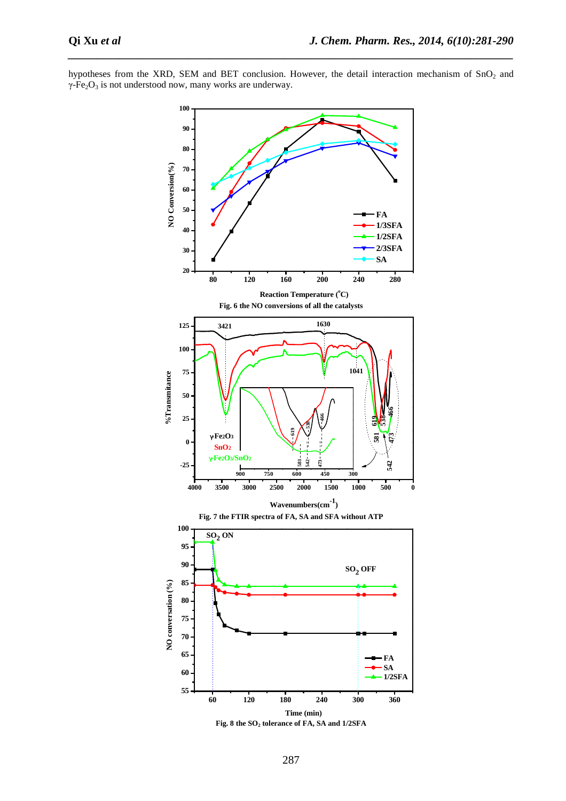

*\_\_\_\_\_\_\_\_\_\_\_\_\_\_\_\_\_\_\_\_\_\_\_\_\_\_\_\_\_\_\_\_\_\_\_\_\_\_\_\_\_\_\_\_\_\_\_\_\_\_\_\_\_\_\_\_\_\_\_\_\_\_\_\_\_\_\_\_\_\_\_\_\_\_\_\_\_\_*

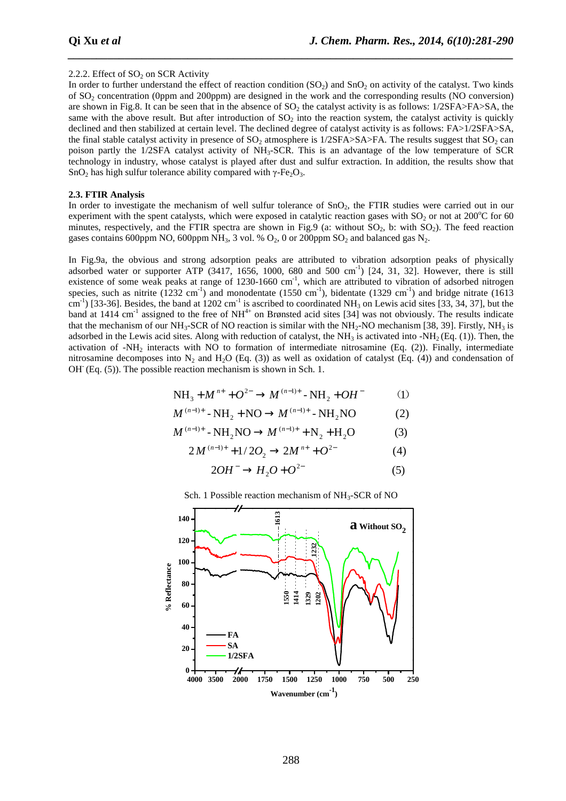#### 2.2.2. Effect of  $SO_2$  on SCR Activity

In order to further understand the effect of reaction condition  $(SO<sub>2</sub>)$  and  $SnO<sub>2</sub>$  on activity of the catalyst. Two kinds of SO2 concentration (0ppm and 200ppm) are designed in the work and the corresponding results (NO conversion) are shown in Fig.8. It can be seen that in the absence of  $SO_2$  the catalyst activity is as follows: 1/2SFA>FA>SA, the same with the above result. But after introduction of  $SO<sub>2</sub>$  into the reaction system, the catalyst activity is quickly declined and then stabilized at certain level. The declined degree of catalyst activity is as follows: FA>1/2SFA>SA, the final stable catalyst activity in presence of  $SO_2$  atmosphere is 1/2SFA>SA>FA. The results suggest that  $SO_2$  can poison partly the 1/2SFA catalyst activity of NH<sub>3</sub>-SCR. This is an advantage of the low temperature of SCR technology in industry, whose catalyst is played after dust and sulfur extraction. In addition, the results show that SnO<sub>2</sub> has high sulfur tolerance ability compared with  $\gamma$ -Fe<sub>2</sub>O<sub>3</sub>.

*\_\_\_\_\_\_\_\_\_\_\_\_\_\_\_\_\_\_\_\_\_\_\_\_\_\_\_\_\_\_\_\_\_\_\_\_\_\_\_\_\_\_\_\_\_\_\_\_\_\_\_\_\_\_\_\_\_\_\_\_\_\_\_\_\_\_\_\_\_\_\_\_\_\_\_\_\_\_*

#### **2.3. FTIR Analysis**

In order to investigate the mechanism of well sulfur tolerance of SnO<sub>2</sub>, the FTIR studies were carried out in our experiment with the spent catalysts, which were exposed in catalytic reaction gases with  $SO<sub>2</sub>$  or not at 200<sup>o</sup>C for 60 minutes, respectively, and the FTIR spectra are shown in Fig.9 (a: without  $SO_2$ , b: with  $SO_2$ ). The feed reaction gases contains 600ppm NO, 600ppm NH<sub>3</sub>, 3 vol. %  $O_2$ , 0 or 200ppm SO<sub>2</sub> and balanced gas N<sub>2</sub>.

In Fig.9a, the obvious and strong adsorption peaks are attributed to vibration adsorption peaks of physically adsorbed water or supporter ATP (3417, 1656, 1000, 680 and 500 cm<sup>-1</sup>) [24, 31, 32]. However, there is still existence of some weak peaks at range of 1230-1660 cm<sup>-1</sup>, which are attributed to vibration of adsorbed nitrogen species, such as nitrite  $(1232 \text{ cm}^{-1})$  and monodentate  $(1550 \text{ cm}^{-1})$ , bidentate  $(1329 \text{ cm}^{-1})$  and bridge nitrate  $(1613 \text{ cm}^{-1})$  $\text{cm}^{-1}$ ) [33-36]. Besides, the band at 1202 cm<sup>-1</sup> is ascribed to coordinated NH<sub>3</sub> on Lewis acid sites [33, 34, 37], but the band at 1414 cm<sup>-1</sup> assigned to the free of NH<sup>4+</sup> on Brønsted acid sites [34] was not obviously. The results indicate that the mechanism of our NH<sub>3</sub>-SCR of NO reaction is similar with the NH<sub>2</sub>-NO mechanism [38, 39]. Firstly, NH<sub>3</sub> is adsorbed in the Lewis acid sites. Along with reduction of catalyst, the  $NH_3$  is activated into  $-MH_2$  (Eq. (1)). Then, the activation of -NH2 interacts with NO to formation of intermediate nitrosamine (Eq. (2)). Finally, intermediate nitrosamine decomposes into  $N_2$  and  $H_2O$  (Eq. (3)) as well as oxidation of catalyst (Eq. (4)) and condensation of OH<sup>-</sup> (Eq. (5)). The possible reaction mechanism is shown in Sch. 1.

$$
NH_3 + M^{n+} + O^{2-} \to M^{(n-1)+} - NH_2 + OH^-
$$
 (1)

$$
M^{(n-1)+} - NH_2 + NO \to M^{(n-1)+} - NH_2 NO
$$
 (2)

$$
M^{(n-1)+} - NH_2NO \to M^{(n-1)+} + N_2 + H_2O
$$
 (3)

$$
2M^{(n-1)+} + 1/2O_2 \to 2M^{n+} + O^{2-}
$$
 (4)

$$
2OH^- \to H_2O + O^{2-} \tag{5}
$$



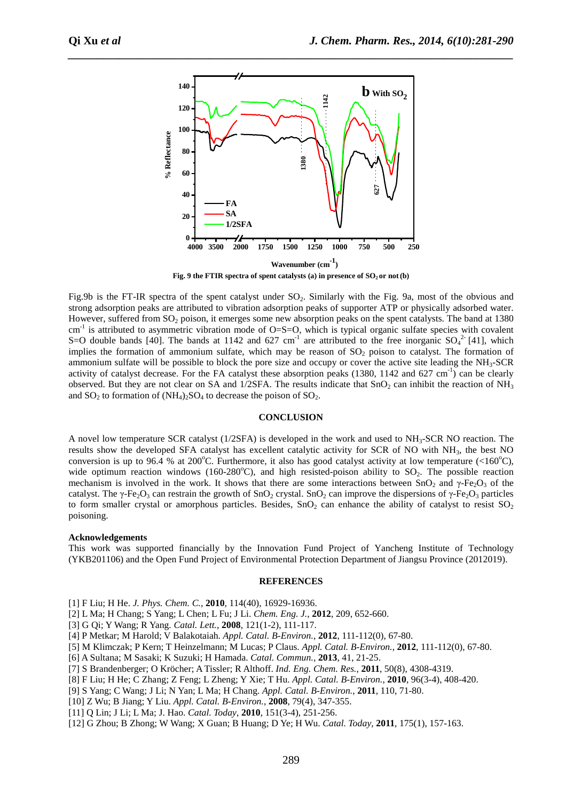

*\_\_\_\_\_\_\_\_\_\_\_\_\_\_\_\_\_\_\_\_\_\_\_\_\_\_\_\_\_\_\_\_\_\_\_\_\_\_\_\_\_\_\_\_\_\_\_\_\_\_\_\_\_\_\_\_\_\_\_\_\_\_\_\_\_\_\_\_\_\_\_\_\_\_\_\_\_\_*

**Fig. 9 the FTIR spectra of spent catalysts (a) in presence of SO2 or not(b)** 

Fig.9b is the FT-IR spectra of the spent catalyst under SO<sub>2</sub>. Similarly with the Fig. 9a, most of the obvious and strong adsorption peaks are attributed to vibration adsorption peaks of supporter ATP or physically adsorbed water. However, suffered from SO<sub>2</sub> poison, it emerges some new absorption peaks on the spent catalysts. The band at 1380  $cm^{-1}$  is attributed to asymmetric vibration mode of O=S=O, which is typical organic sulfate species with covalent S=O double bands [40]. The bands at 1142 and 627 cm<sup>-1</sup> are attributed to the free inorganic  $SO_4^2$ -[41], which implies the formation of ammonium sulfate, which may be reason of  $SO<sub>2</sub>$  poison to catalyst. The formation of ammonium sulfate will be possible to block the pore size and occupy or cover the active site leading the  $NH<sub>3</sub>-SCR$ activity of catalyst decrease. For the FA catalyst these absorption peaks  $(1380, 1142 \text{ and } 627 \text{ cm}^{-1})$  can be clearly observed. But they are not clear on SA and  $1/2$ SFA. The results indicate that SnO<sub>2</sub> can inhibit the reaction of NH<sub>3</sub> and  $SO_2$  to formation of  $(NH_4)_2SO_4$  to decrease the poison of  $SO_2$ .

#### **CONCLUSION**

A novel low temperature SCR catalyst (1/2SFA) is developed in the work and used to NH3-SCR NO reaction. The results show the developed SFA catalyst has excellent catalytic activity for SCR of NO with NH3, the best NO conversion is up to 96.4 % at 200 °C. Furthermore, it also has good catalyst activity at low temperature  $(<160^{\circ}$ C), wide optimum reaction windows (160-280 $^{\circ}$ C), and high resisted-poison ability to SO<sub>2</sub>. The possible reaction mechanism is involved in the work. It shows that there are some interactions between  $SnO<sub>2</sub>$  and  $\gamma$ -Fe<sub>2</sub>O<sub>3</sub> of the catalyst. The γ-Fe<sub>2</sub>O<sub>3</sub> can restrain the growth of SnO<sub>2</sub> crystal. SnO<sub>2</sub> can improve the dispersions of γ-Fe<sub>2</sub>O<sub>3</sub> particles to form smaller crystal or amorphous particles. Besides,  $SnO<sub>2</sub>$  can enhance the ability of catalyst to resist  $SO<sub>2</sub>$ poisoning.

# **Acknowledgements**

This work was supported financially by the Innovation Fund Project of Yancheng Institute of Technology (YKB201106) and the Open Fund Project of Environmental Protection Department of Jiangsu Province (2012019).

#### **REFERENCES**

- [1] F Liu; H He. *J. Phys. Chem. C.*, **2010**, 114(40), 16929-16936.
- [2] L Ma; H Chang; S Yang; L Chen; L Fu; J Li. *Chem. Eng. J.*, **2012**, 209, 652-660.
- [3] G Qi; Y Wang; R Yang. *Catal. Lett.*, **2008**, 121(1-2), 111-117.
- [4] P Metkar; M Harold; V Balakotaiah. *Appl. Catal. B-Environ.*, **2012**, 111-112(0), 67-80.
- [5] M Klimczak; P Kern; T Heinzelmann; M Lucas; P Claus. *Appl. Catal. B-Environ.*, **2012**, 111-112(0), 67-80.
- [6] A Sultana; M Sasaki; K Suzuki; H Hamada. *Catal. Commun.*, **2013**, 41, 21-25.
- [7] S Brandenberger; O Kröcher; A Tissler; R Althoff. *Ind. Eng. Chem. Res.*, **2011**, 50(8), 4308-4319.
- [8] F Liu; H He; C Zhang; Z Feng; L Zheng; Y Xie; T Hu. *Appl. Catal. B-Environ.*, **2010**, 96(3-4), 408-420.
- [9] S Yang; C Wang; J Li; N Yan; L Ma; H Chang. *Appl. Catal. B-Environ.*, **2011**, 110, 71-80.
- [10] Z Wu; B Jiang; Y Liu. *Appl. Catal. B-Environ.*, **2008**, 79(4), 347-355.
- [11] Q Lin; J Li; L Ma; J. Hao. *Catal. Today*, **2010**, 151(3-4), 251-256.
- [12] G Zhou; B Zhong; W Wang; X Guan; B Huang; D Ye; H Wu. *Catal. Today*, **2011**, 175(1), 157-163.